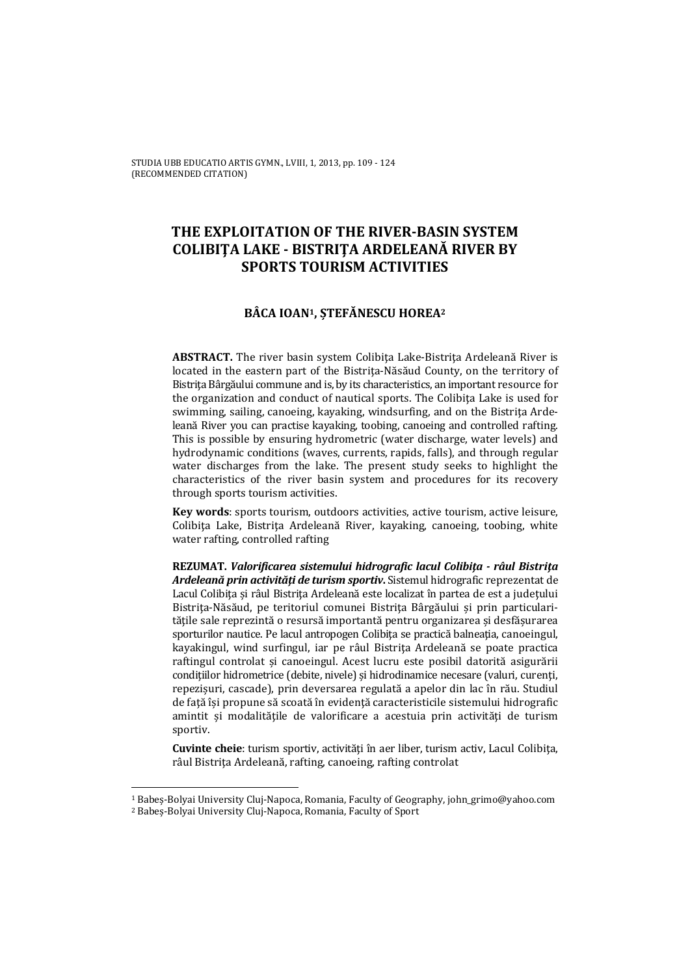# **THE EXPLOITATION OF THE RIVER-BASIN SYSTEM COLIBIŢA LAKE - BISTRIŢA ARDELEANĂ RIVER BY SPORTS TOURISM ACTIVITIES**

## **BÂCA IOAN1, ȘTEFĂNESCU HOREA2**

**ABSTRACT.** The river basin system Colibiţa Lake-Bistriţa Ardeleană River is located in the eastern part of the Bistrita-Năsăud County, on the territory of Bistriţa Bârgăului commune and is, by its characteristics, an important resource for the organization and conduct of nautical sports. The Colibiţa Lake is used for swimming, sailing, canoeing, kayaking, windsurfing, and on the Bistrita Ardeleană River you can practise kayaking, toobing, canoeing and controlled rafting. This is possible by ensuring hydrometric (water discharge, water levels) and hydrodynamic conditions (waves, currents, rapids, falls), and through regular water discharges from the lake. The present study seeks to highlight the characteristics of the river basin system and procedures for its recovery through sports tourism activities.

**Key words**: sports tourism, outdoors activities, active tourism, active leisure, Colibita Lake, Bistrita Ardeleană River, kayaking, canoeing, toobing, white water rafting, controlled rafting

**REZUMAT.** *Valorificarea sistemului hidrografic lacul Colibiţa - râul Bistriţa Ardeleană prin activităţi de turism sportiv***.** Sistemul hidrografic reprezentat de Lacul Colibita și râul Bistrita Ardeleană este localizat în partea de est a județului Bistrita-Năsăud, pe teritoriul comunei Bistrita Bârgăului și prin particularitățile sale reprezintă o resursă importantă pentru organizarea și desfășurarea sporturilor nautice. Pe lacul antropogen Colibita se practică balneatia, canoeingul, kayakingul, wind surfingul, iar pe râul Bistriţa Ardeleană se poate practica raftingul controlat și canoeingul. Acest lucru este posibil datorită asigurării condițiilor hidrometrice (debite, nivele) și hidrodinamice necesare (valuri, curenți, repezișuri, cascade), prin deversarea regulată a apelor din lac în rău. Studiul de faţă își propune să scoată în evidenţă caracteristicile sistemului hidrografic amintit și modalităţile de valorificare a acestuia prin activităţi de turism sportiv.

**Cuvinte cheie**: turism sportiv, activităţi în aer liber, turism activ, Lacul Colibiţa, râul Bistriţa Ardeleană, rafting, canoeing, rafting controlat

l

<sup>1</sup> Babeș-Bolyai University Cluj-Napoca, Romania, Faculty of Geography, john\_grimo@yahoo.com 2 Babeș-Bolyai University Cluj-Napoca, Romania, Faculty of Sport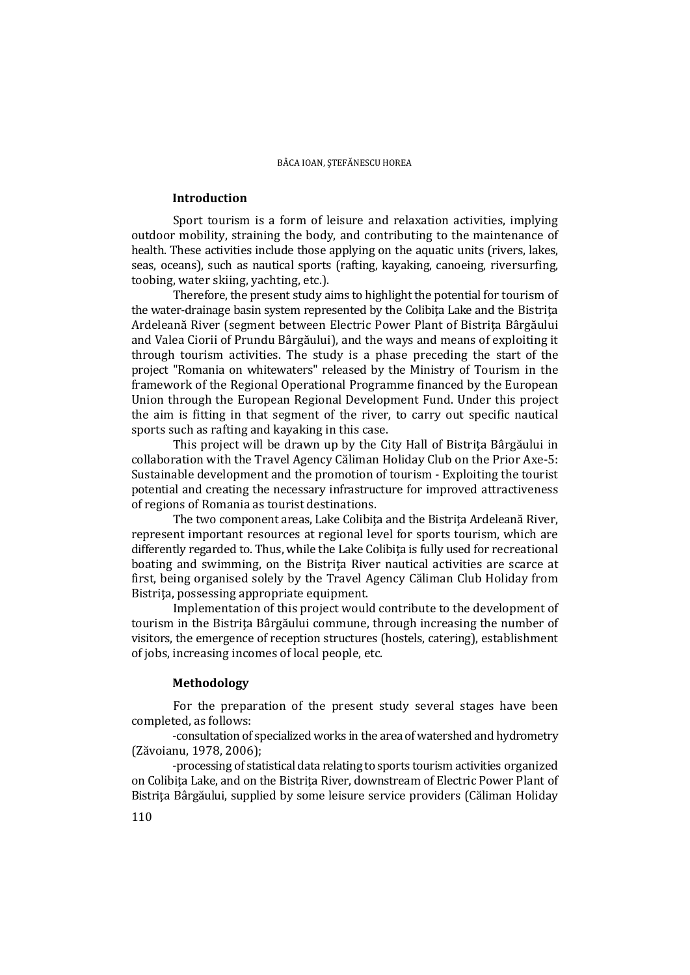## **Introduction**

 Sport tourism is a form of leisure and relaxation activities, implying outdoor mobility, straining the body, and contributing to the maintenance of health. These activities include those applying on the aquatic units (rivers, lakes, seas, oceans), such as nautical sports (rafting, kayaking, canoeing, riversurfing, toobing, water skiing, yachting, etc.).

Therefore, the present study aims to highlight the potential for tourism of the water-drainage basin system represented by the Colibita Lake and the Bistrita Ardeleană River (segment between Electric Power Plant of Bistriţa Bârgăului and Valea Ciorii of Prundu Bârgăului), and the ways and means of exploiting it through tourism activities. The study is a phase preceding the start of the project "Romania on whitewaters" released by the Ministry of Tourism in the framework of the Regional Operational Programme financed by the European Union through the European Regional Development Fund. Under this project the aim is fitting in that segment of the river, to carry out specific nautical sports such as rafting and kayaking in this case.

This project will be drawn up by the City Hall of Bistrita Bârgăului in collaboration with the Travel Agency Căliman Holiday Club on the Prior Axe-5: Sustainable development and the promotion of tourism - Exploiting the tourist potential and creating the necessary infrastructure for improved attractiveness of regions of Romania as tourist destinations.

The two component areas, Lake Colibita and the Bistrita Ardeleană River, represent important resources at regional level for sports tourism, which are differently regarded to. Thus, while the Lake Colibita is fully used for recreational boating and swimming, on the Bistriţa River nautical activities are scarce at first, being organised solely by the Travel Agency Căliman Club Holiday from Bistrita, possessing appropriate equipment.

Implementation of this project would contribute to the development of tourism in the Bistriţa Bârgăului commune, through increasing the number of visitors, the emergence of reception structures (hostels, catering), establishment of jobs, increasing incomes of local people, etc.

## **Methodology**

For the preparation of the present study several stages have been completed, as follows:

-consultation of specialized works in the area of watershed and hydrometry (Zăvoianu, 1978, 2006);

-processing of statistical data relating to sports tourism activities organized on Colibiţa Lake, and on the Bistriţa River, downstream of Electric Power Plant of Bistriţa Bârgăului, supplied by some leisure service providers (Căliman Holiday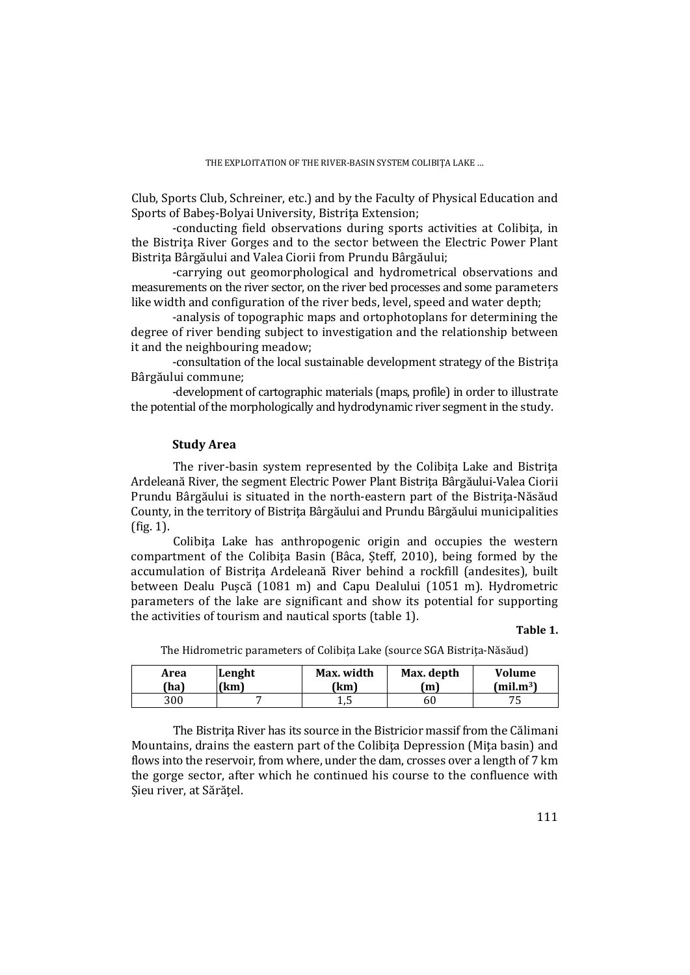Club, Sports Club, Schreiner, etc.) and by the Faculty of Physical Education and Sports of Babes-Bolyai University, Bistrita Extension;

-conducting field observations during sports activities at Colibita, in the Bistriţa River Gorges and to the sector between the Electric Power Plant Bistrita Bârgăului and Valea Ciorii from Prundu Bârgăului;

-carrying out geomorphological and hydrometrical observations and measurements on the river sector, on the river bed processes and some parameters like width and configuration of the river beds, level, speed and water depth;

-analysis of topographic maps and ortophotoplans for determining the degree of river bending subject to investigation and the relationship between it and the neighbouring meadow;

-consultation of the local sustainable development strategy of the Bistriţa Bârgăului commune;

-development of cartographic materials (maps, profile) in order to illustrate the potential of the morphologically and hydrodynamic river segment in the study.

## **Study Area**

The river-basin system represented by the Colibita Lake and Bistrita Ardeleană River, the segment Electric Power Plant Bistriţa Bârgăului-Valea Ciorii Prundu Bârgăului is situated in the north-eastern part of the Bistrita-Năsăud County, in the territory of Bistriţa Bârgăului and Prundu Bârgăului municipalities (fig. 1).

Colibita Lake has anthropogenic origin and occupies the western compartment of the Colibita Basin (Bâca, Șteff, 2010), being formed by the accumulation of Bistrita Ardeleană River behind a rockfill (andesites), built between Dealu Pușcă (1081 m) and Capu Dealului (1051 m). Hydrometric parameters of the lake are significant and show its potential for supporting the activities of tourism and nautical sports (table 1).

### **Table 1.**

| Area | Lenght | Max. width | Max. depth | Volume                |
|------|--------|------------|------------|-----------------------|
| 'ha) | (km)   | [km        | (m         | (mil.m <sup>3</sup> ) |
| 300  |        | ⊥,∪        | 60         | ົ                     |

The Hidrometric parameters of Colibita Lake (source SGA Bistrita-Năsăud)

 The Bistriţa River has its source in the Bistricior massif from the Călimani Mountains, drains the eastern part of the Colibita Depression (Mita basin) and flows into the reservoir, from where, under the dam, crosses over a length of 7 km the gorge sector, after which he continued his course to the confluence with Șieu river, at Sărăţel.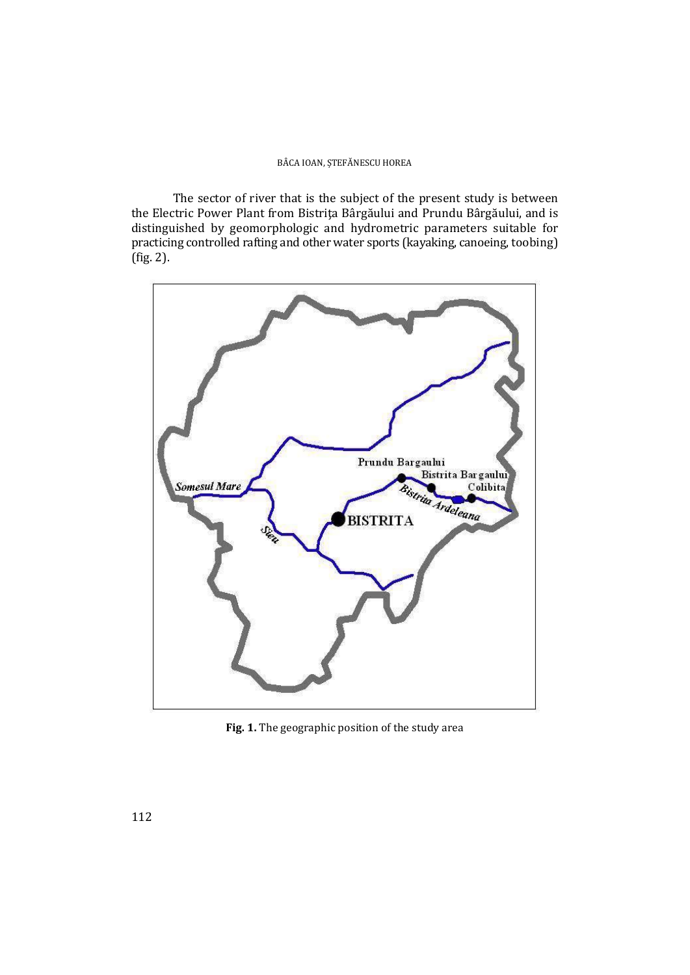The sector of river that is the subject of the present study is between the Electric Power Plant from Bistriţa Bârgăului and Prundu Bârgăului, and is distinguished by geomorphologic and hydrometric parameters suitable for practicing controlled rafting and other water sports (kayaking, canoeing, toobing) (fig. 2).



**Fig. 1.** The geographic position of the study area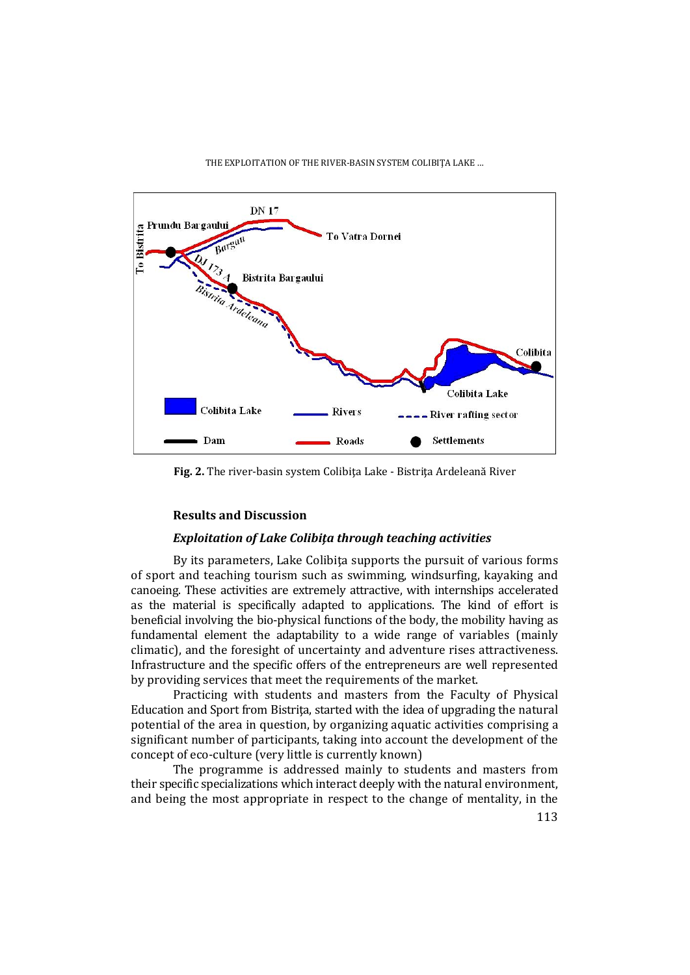

**Fig. 2.** The river-basin system Colibiţa Lake - Bistriţa Ardeleană River

## **Results and Discussion**

## *Exploitation of Lake Colibiţa through teaching activities*

By its parameters, Lake Colibita supports the pursuit of various forms of sport and teaching tourism such as swimming, windsurfing, kayaking and canoeing. These activities are extremely attractive, with internships accelerated as the material is specifically adapted to applications. The kind of effort is beneficial involving the bio-physical functions of the body, the mobility having as fundamental element the adaptability to a wide range of variables (mainly climatic), and the foresight of uncertainty and adventure rises attractiveness. Infrastructure and the specific offers of the entrepreneurs are well represented by providing services that meet the requirements of the market.

Practicing with students and masters from the Faculty of Physical Education and Sport from Bistrita, started with the idea of upgrading the natural potential of the area in question, by organizing aquatic activities comprising a significant number of participants, taking into account the development of the concept of eco-culture (very little is currently known)

The programme is addressed mainly to students and masters from their specific specializations which interact deeply with the natural environment, and being the most appropriate in respect to the change of mentality, in the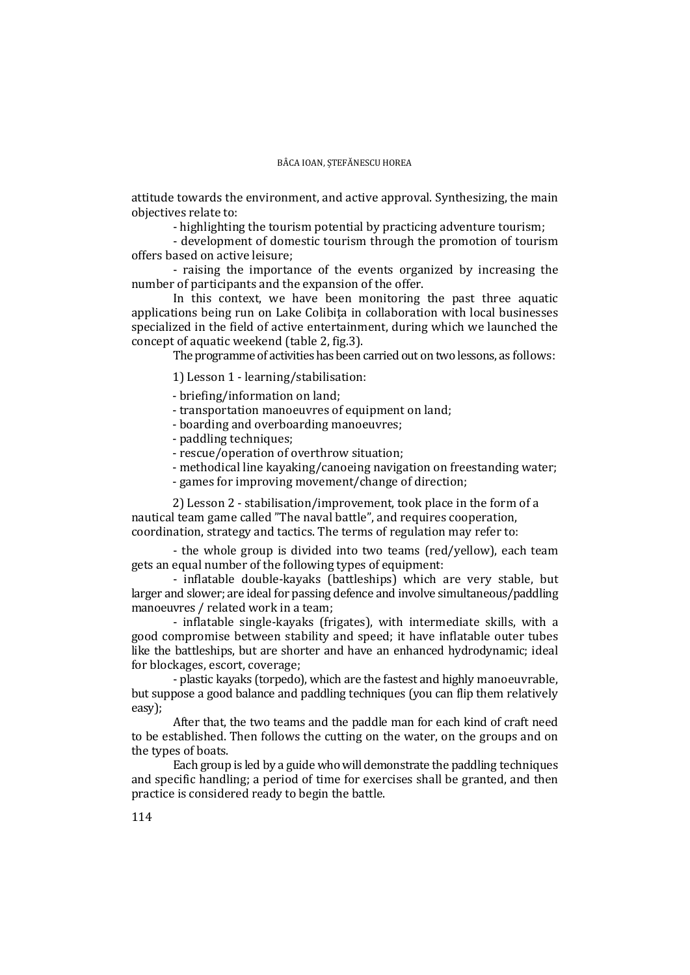attitude towards the environment, and active approval. Synthesizing, the main objectives relate to:

- highlighting the tourism potential by practicing adventure tourism;

 - development of domestic tourism through the promotion of tourism offers based on active leisure;

- raising the importance of the events organized by increasing the number of participants and the expansion of the offer.

In this context, we have been monitoring the past three aquatic applications being run on Lake Colibita in collaboration with local businesses specialized in the field of active entertainment, during which we launched the concept of aquatic weekend (table 2, fig.3).

The programme of activities has been carried out on two lessons, as follows:

1) Lesson 1 - learning/stabilisation:

- briefing/information on land;

- transportation manoeuvres of equipment on land;
- boarding and overboarding manoeuvres;
- paddling techniques;
- rescue/operation of overthrow situation;
- methodical line kayaking/canoeing navigation on freestanding water;
- games for improving movement/change of direction;

2) Lesson 2 - stabilisation/improvement, took place in the form of a nautical team game called "The naval battle", and requires cooperation, coordination, strategy and tactics. The terms of regulation may refer to:

- the whole group is divided into two teams (red/yellow), each team gets an equal number of the following types of equipment:

- inflatable double-kayaks (battleships) which are very stable, but larger and slower; are ideal for passing defence and involve simultaneous/paddling manoeuvres / related work in a team;

- inflatable single-kayaks (frigates), with intermediate skills, with a good compromise between stability and speed; it have inflatable outer tubes like the battleships, but are shorter and have an enhanced hydrodynamic; ideal for blockages, escort, coverage;

- plastic kayaks (torpedo), which are the fastest and highly manoeuvrable, but suppose a good balance and paddling techniques (you can flip them relatively easy);

After that, the two teams and the paddle man for each kind of craft need to be established. Then follows the cutting on the water, on the groups and on the types of boats.

Each group is led by a guide who will demonstrate the paddling techniques and specific handling; a period of time for exercises shall be granted, and then practice is considered ready to begin the battle.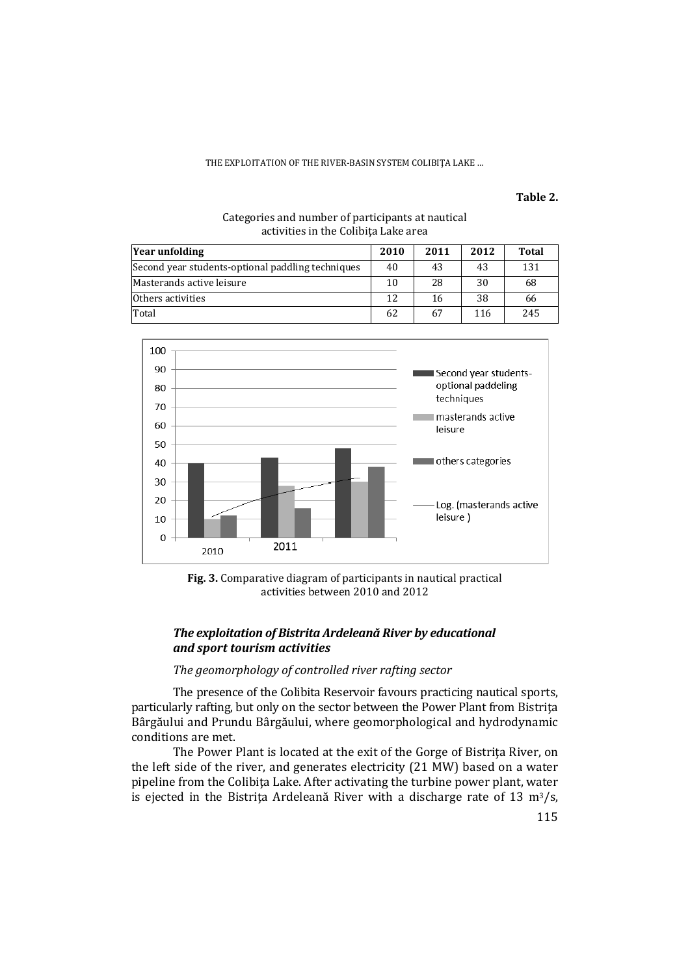#### THE EXPLOITATION OF THE RIVER-BASIN SYSTEM COLIBIŢA LAKE …

**Table 2.**

### Categories and number of participants at nautical activities in the Colibiţa Lake area

| Year unfolding                                    | 2010 | 2011 | 2012 | <b>Total</b> |
|---------------------------------------------------|------|------|------|--------------|
| Second year students-optional paddling techniques | 40   | 43   | 43   | 131          |
| Masterands active leisure                         | 10   | 28   | 30   | 68           |
| Others activities                                 | 12   | 16   | 38   | 66           |
| Total                                             | 62   | 67   | 116  | 245          |



**Fig. 3.** Comparative diagram of participants in nautical practical activities between 2010 and 2012

## *The exploitation of Bistrita Ardeleană River by educational and sport tourism activities*

### *The geomorphology of controlled river rafting sector*

The presence of the Colibita Reservoir favours practicing nautical sports, particularly rafting, but only on the sector between the Power Plant from Bistrita Bârgăului and Prundu Bârgăului, where geomorphological and hydrodynamic conditions are met.

The Power Plant is located at the exit of the Gorge of Bistrita River, on the left side of the river, and generates electricity (21 MW) based on a water pipeline from the Colibita Lake. After activating the turbine power plant, water is ejected in the Bistrița Ardeleană River with a discharge rate of 13  $\text{m}^3/\text{s}$ ,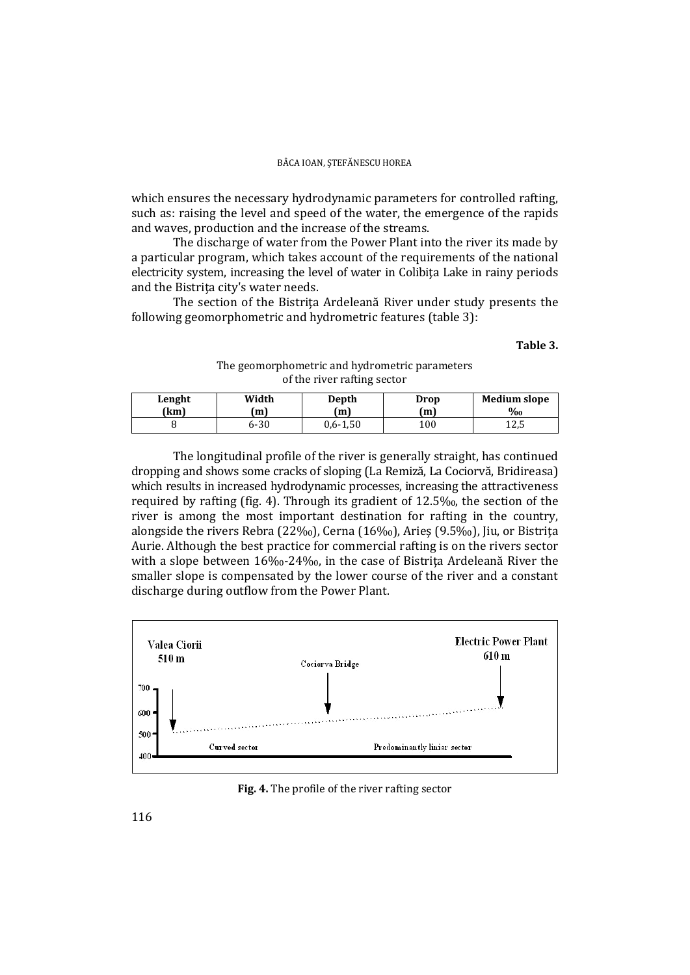which ensures the necessary hydrodynamic parameters for controlled rafting, such as: raising the level and speed of the water, the emergence of the rapids and waves, production and the increase of the streams.

The discharge of water from the Power Plant into the river its made by a particular program, which takes account of the requirements of the national electricity system, increasing the level of water in Colibiţa Lake in rainy periods and the Bistriţa city's water needs.

 The section of the Bistriţa Ardeleană River under study presents the following geomorphometric and hydrometric features (table 3):

#### **Table 3.**

### The geomorphometric and hydrometric parameters of the river rafting sector

| Lenght | Width    | Depth        | Drop | <b>Medium slope</b> |
|--------|----------|--------------|------|---------------------|
| (km    | (m)      | (m           | (m)  | $\%$ <sub>0</sub>   |
|        | $6 - 30$ | $0.6 - 1.50$ | 100  | イウビ<br>ل,21         |

 The longitudinal profile of the river is generally straight, has continued dropping and shows some cracks of sloping (La Remiză, La Cociorvă, Bridireasa) which results in increased hydrodynamic processes, increasing the attractiveness required by rafting (fig. 4). Through its gradient of 12.5‰, the section of the river is among the most important destination for rafting in the country, alongside the rivers Rebra (22‰), Cerna (16‰), Aries (9.5‰), Jiu, or Bistrita Aurie. Although the best practice for commercial rafting is on the rivers sector with a slope between 16‰-24‰, in the case of Bistrita Ardeleană River the smaller slope is compensated by the lower course of the river and a constant discharge during outflow from the Power Plant.



### **Fig. 4.** The profile of the river rafting sector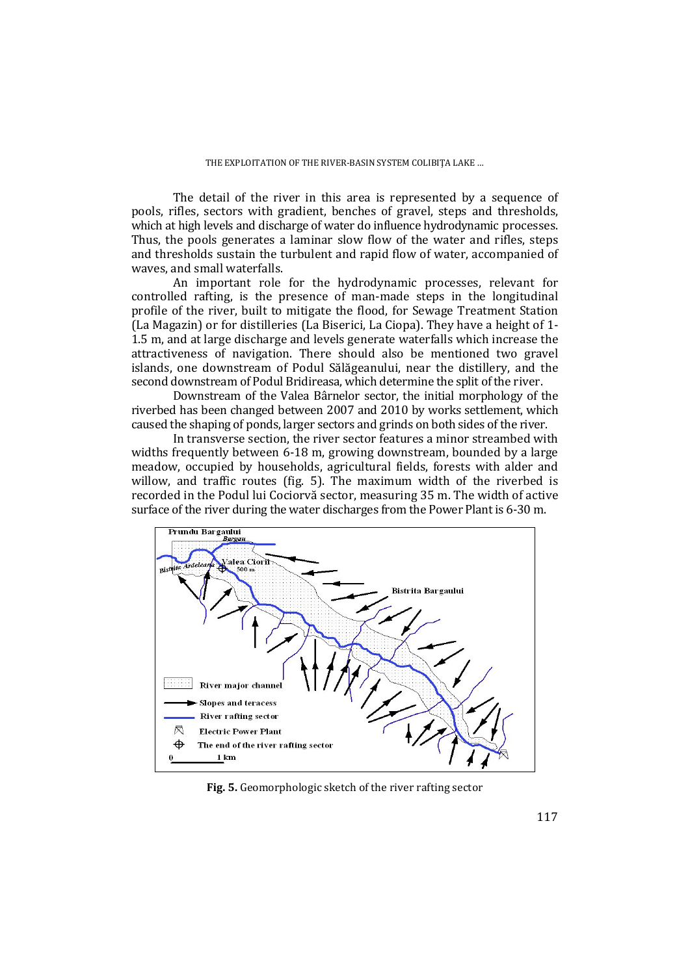The detail of the river in this area is represented by a sequence of pools, rifles, sectors with gradient, benches of gravel, steps and thresholds, which at high levels and discharge of water do influence hydrodynamic processes. Thus, the pools generates a laminar slow flow of the water and rifles, steps and thresholds sustain the turbulent and rapid flow of water, accompanied of waves, and small waterfalls.

An important role for the hydrodynamic processes, relevant for controlled rafting, is the presence of man-made steps in the longitudinal profile of the river, built to mitigate the flood, for Sewage Treatment Station (La Magazin) or for distilleries (La Biserici, La Ciopa). They have a height of 1- 1.5 m, and at large discharge and levels generate waterfalls which increase the attractiveness of navigation. There should also be mentioned two gravel islands, one downstream of Podul Sălăgeanului, near the distillery, and the second downstream of Podul Bridireasa, which determine the split of the river.

Downstream of the Valea Bârnelor sector, the initial morphology of the riverbed has been changed between 2007 and 2010 by works settlement, which caused the shaping of ponds, larger sectors and grinds on both sides of the river.

In transverse section, the river sector features a minor streambed with widths frequently between 6-18 m, growing downstream, bounded by a large meadow, occupied by households, agricultural fields, forests with alder and willow, and traffic routes (fig. 5). The maximum width of the riverbed is recorded in the Podul lui Cociorvă sector, measuring 35 m. The width of active surface of the river during the water discharges from the Power Plant is 6-30 m.



**Fig. 5.** Geomorphologic sketch of the river rafting sector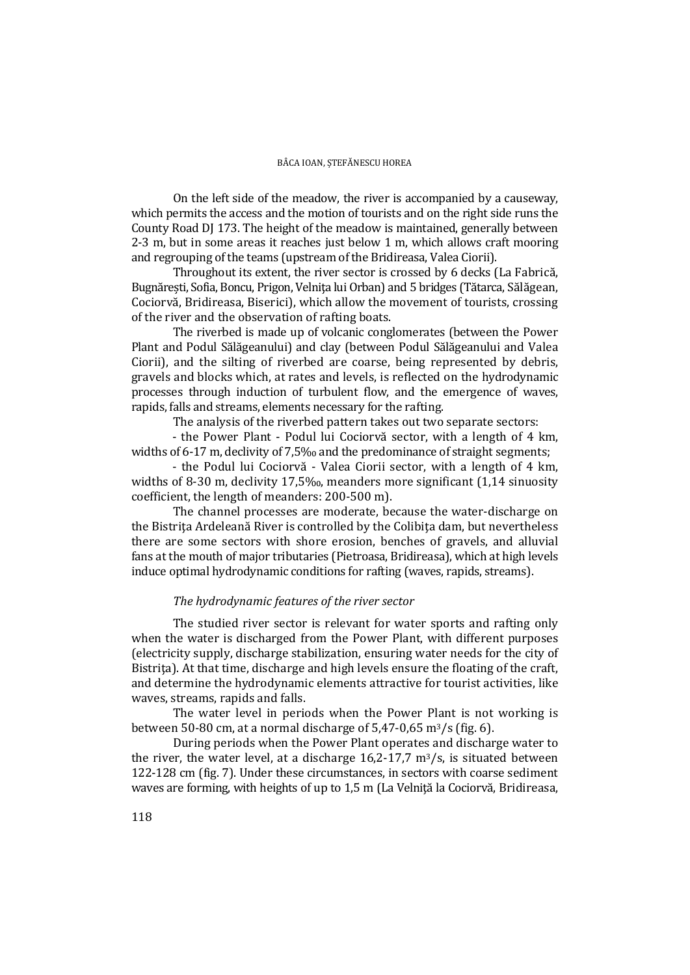On the left side of the meadow, the river is accompanied by a causeway, which permits the access and the motion of tourists and on the right side runs the County Road DJ 173. The height of the meadow is maintained, generally between 2-3 m, but in some areas it reaches just below 1 m, which allows craft mooring and regrouping of the teams (upstream of the Bridireasa, Valea Ciorii).

 Throughout its extent, the river sector is crossed by 6 decks (La Fabrică, Bugnărești, Sofia, Boncu, Prigon, Velniţa lui Orban) and 5 bridges (Tătarca, Sălăgean, Cociorvă, Bridireasa, Biserici), which allow the movement of tourists, crossing of the river and the observation of rafting boats.

 The riverbed is made up of volcanic conglomerates (between the Power Plant and Podul Sălăgeanului) and clay (between Podul Sălăgeanului and Valea Ciorii), and the silting of riverbed are coarse, being represented by debris, gravels and blocks which, at rates and levels, is reflected on the hydrodynamic processes through induction of turbulent flow, and the emergence of waves, rapids, falls and streams, elements necessary for the rafting.

The analysis of the riverbed pattern takes out two separate sectors:

- the Power Plant - Podul lui Cociorvă sector, with a length of 4 km, widths of 6-17 m, declivity of 7,5‰ and the predominance of straight segments;

- the Podul lui Cociorvă - Valea Ciorii sector, with a length of 4 km, widths of 8-30 m, declivity 17,5‰, meanders more significant (1,14 sinuosity coefficient, the length of meanders: 200-500 m).

The channel processes are moderate, because the water-discharge on the Bistriţa Ardeleană River is controlled by the Colibiţa dam, but nevertheless there are some sectors with shore erosion, benches of gravels, and alluvial fans at the mouth of major tributaries (Pietroasa, Bridireasa), which at high levels induce optimal hydrodynamic conditions for rafting (waves, rapids, streams).

## *The hydrodynamic features of the river sector*

 The studied river sector is relevant for water sports and rafting only when the water is discharged from the Power Plant, with different purposes (electricity supply, discharge stabilization, ensuring water needs for the city of Bistrita). At that time, discharge and high levels ensure the floating of the craft, and determine the hydrodynamic elements attractive for tourist activities, like waves, streams, rapids and falls.

The water level in periods when the Power Plant is not working is between 50-80 cm, at a normal discharge of  $5.47$ -0,65 m<sup>3</sup>/s (fig. 6).

During periods when the Power Plant operates and discharge water to the river, the water level, at a discharge  $16,2-17,7$  m<sup>3</sup>/s, is situated between 122-128 cm (fig. 7). Under these circumstances, in sectors with coarse sediment waves are forming, with heights of up to 1,5 m (La Velnită la Cociorvă, Bridireasa,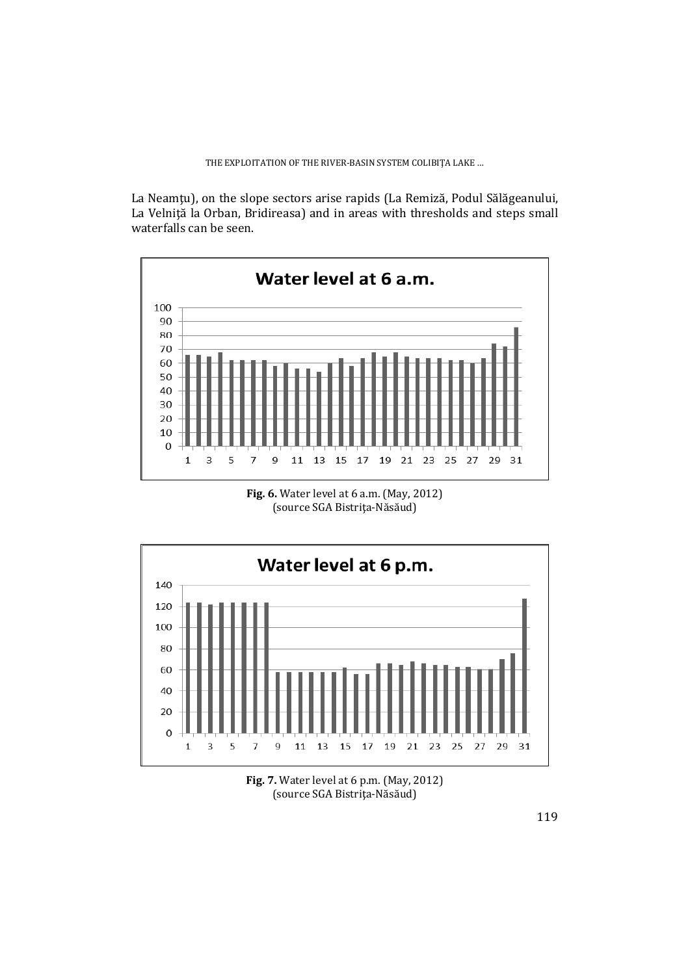La Neamţu), on the slope sectors arise rapids (La Remiză, Podul Sălăgeanului, La Velnită la Orban, Bridireasa) and in areas with thresholds and steps small waterfalls can be seen.



**Fig. 6.** Water level at 6 a.m. (May, 2012) (source SGA Bistriţa-Năsăud)



**Fig. 7.** Water level at 6 p.m. (May, 2012) (source SGA Bistriţa-Năsăud)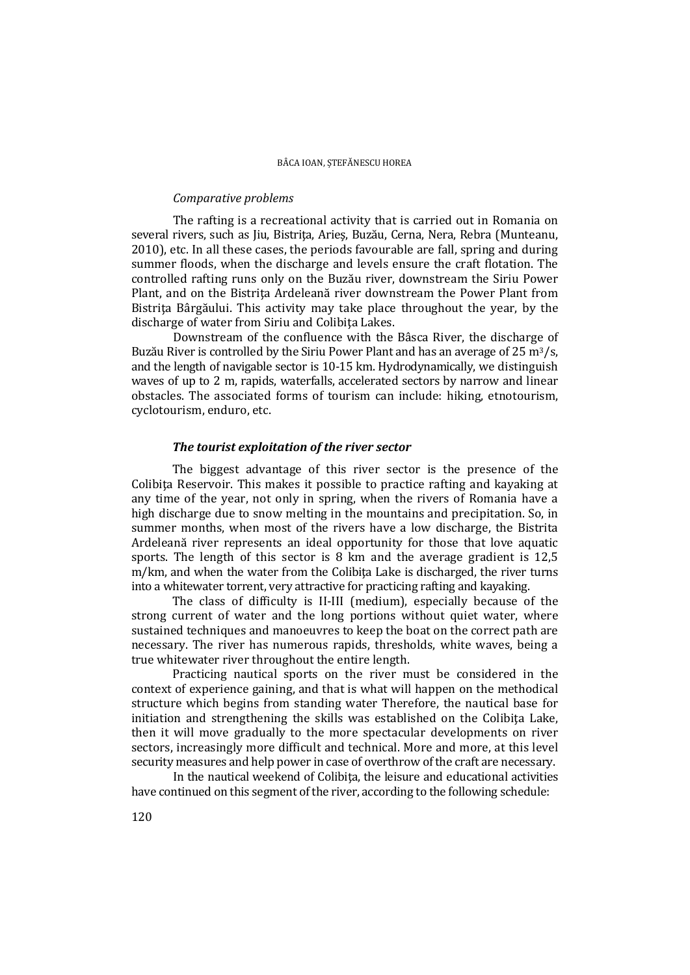#### *Comparative problems*

 The rafting is a recreational activity that is carried out in Romania on several rivers, such as Jiu, Bistriţa, Arieş, Buzău, Cerna, Nera, Rebra (Munteanu, 2010), etc. In all these cases, the periods favourable are fall, spring and during summer floods, when the discharge and levels ensure the craft flotation. The controlled rafting runs only on the Buzău river, downstream the Siriu Power Plant, and on the Bistrita Ardeleană river downstream the Power Plant from Bistrita Bârgăului. This activity may take place throughout the year, by the discharge of water from Siriu and Colibiţa Lakes.

Downstream of the confluence with the Bâsca River, the discharge of Buzău River is controlled by the Siriu Power Plant and has an average of 25 m<sup>3</sup>/s, and the length of navigable sector is 10-15 km. Hydrodynamically, we distinguish waves of up to 2 m, rapids, waterfalls, accelerated sectors by narrow and linear obstacles. The associated forms of tourism can include: hiking, etnotourism, cyclotourism, enduro, etc.

### *The tourist exploitation of the river sector*

The biggest advantage of this river sector is the presence of the Colibita Reservoir. This makes it possible to practice rafting and kayaking at any time of the year, not only in spring, when the rivers of Romania have a high discharge due to snow melting in the mountains and precipitation. So, in summer months, when most of the rivers have a low discharge, the Bistrita Ardeleană river represents an ideal opportunity for those that love aquatic sports. The length of this sector is 8 km and the average gradient is 12,5 m/km, and when the water from the Colibita Lake is discharged, the river turns into a whitewater torrent, very attractive for practicing rafting and kayaking.

The class of difficulty is II-III (medium), especially because of the strong current of water and the long portions without quiet water, where sustained techniques and manoeuvres to keep the boat on the correct path are necessary. The river has numerous rapids, thresholds, white waves, being a true whitewater river throughout the entire length.

Practicing nautical sports on the river must be considered in the context of experience gaining, and that is what will happen on the methodical structure which begins from standing water Therefore, the nautical base for initiation and strengthening the skills was established on the Colibita Lake. then it will move gradually to the more spectacular developments on river sectors, increasingly more difficult and technical. More and more, at this level security measures and help power in case of overthrow of the craft are necessary.

In the nautical weekend of Colibita, the leisure and educational activities have continued on this segment of the river, according to the following schedule: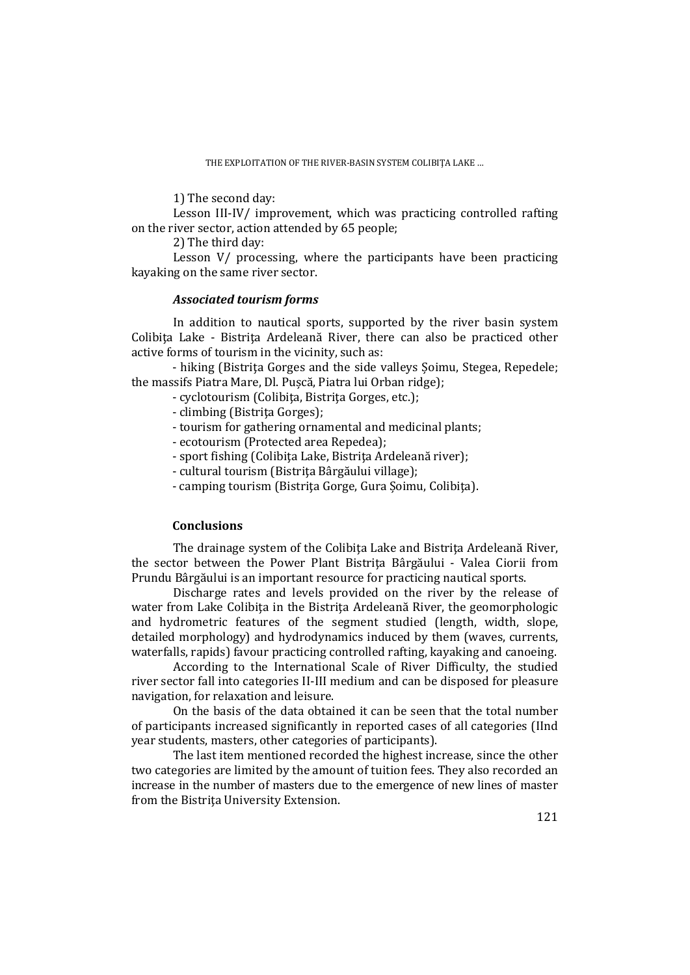1) The second day:

Lesson III-IV/ improvement, which was practicing controlled rafting on the river sector, action attended by 65 people;

2) The third day:

Lesson V/ processing, where the participants have been practicing kayaking on the same river sector.

## *Associated tourism forms*

 In addition to nautical sports, supported by the river basin system Colibita Lake - Bistrita Ardeleană River, there can also be practiced other active forms of tourism in the vicinity, such as:

- hiking (Bistrita Gorges and the side valleys Soimu, Stegea, Repedele; the massifs Piatra Mare, Dl. Pușcă, Piatra lui Orban ridge);

- cyclotourism (Colibiţa, Bistriţa Gorges, etc.);
- climbing (Bistriţa Gorges);
- tourism for gathering ornamental and medicinal plants;
- ecotourism (Protected area Repedea);
- sport fishing (Colibiţa Lake, Bistriţa Ardeleană river);
- cultural tourism (Bistriţa Bârgăului village);
- camping tourism (Bistriţa Gorge, Gura Șoimu, Colibiţa).

## **Conclusions**

The drainage system of the Colibita Lake and Bistrita Ardeleană River, the sector between the Power Plant Bistriţa Bârgăului - Valea Ciorii from Prundu Bârgăului is an important resource for practicing nautical sports.

 Discharge rates and levels provided on the river by the release of water from Lake Colibita in the Bistrita Ardeleană River, the geomorphologic and hydrometric features of the segment studied (length, width, slope, detailed morphology) and hydrodynamics induced by them (waves, currents, waterfalls, rapids) favour practicing controlled rafting, kayaking and canoeing.

 According to the International Scale of River Difficulty, the studied river sector fall into categories II-III medium and can be disposed for pleasure navigation, for relaxation and leisure.

On the basis of the data obtained it can be seen that the total number of participants increased significantly in reported cases of all categories (IInd year students, masters, other categories of participants).

The last item mentioned recorded the highest increase, since the other two categories are limited by the amount of tuition fees. They also recorded an increase in the number of masters due to the emergence of new lines of master from the Bistriţa University Extension.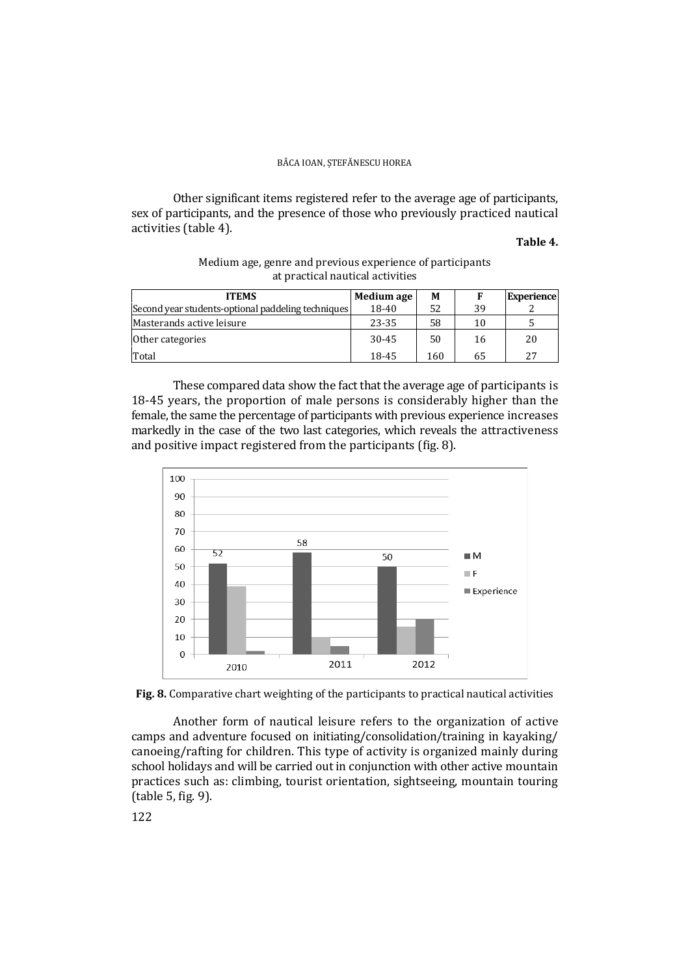### BÂCA IOAN, ȘTEFĂNESCU HOREA

Other significant items registered refer to the average age of participants, sex of participants, and the presence of those who previously practiced nautical activities (table 4).

### **Table 4.**

| <b>ITEMS</b>                                       | Medium age | M   |    | <b>Experience</b> |
|----------------------------------------------------|------------|-----|----|-------------------|
| Second year students-optional paddeling techniques | 18-40      | 52  | 39 |                   |
| Masterands active leisure                          | 23-35      | 58  | 10 |                   |
| Other categories                                   | $30 - 45$  | 50  | 16 | 20                |
| Total                                              | 18-45      | 160 | 65 | 27                |

### Medium age, genre and previous experience of participants at practical nautical activities

These compared data show the fact that the average age of participants is 18-45 years, the proportion of male persons is considerably higher than the female, the same the percentage of participants with previous experience increases markedly in the case of the two last categories, which reveals the attractiveness and positive impact registered from the participants (fig. 8).





Another form of nautical leisure refers to the organization of active camps and adventure focused on initiating/consolidation/training in kayaking/ canoeing/rafting for children. This type of activity is organized mainly during school holidays and will be carried out in conjunction with other active mountain practices such as: climbing, tourist orientation, sightseeing, mountain touring (table 5, fig. 9).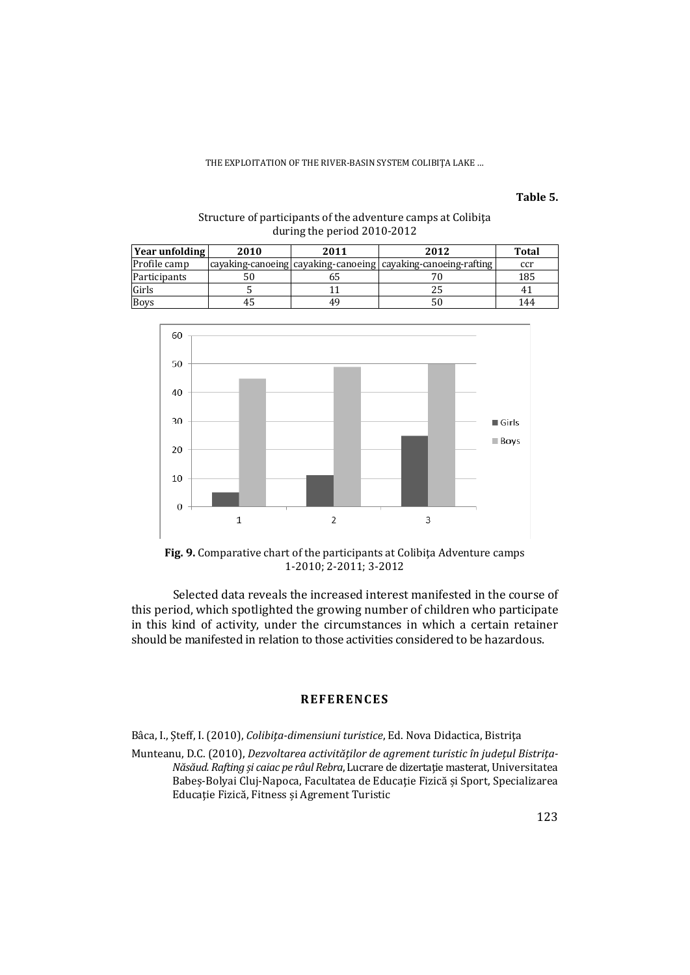#### THE EXPLOITATION OF THE RIVER-BASIN SYSTEM COLIBIŢA LAKE …

**Table 5.**

| Year unfolding | 2010 | 2011 | 2012                                                              | <b>Total</b> |
|----------------|------|------|-------------------------------------------------------------------|--------------|
| Profile camp   |      |      | cayaking-canoeing   cayaking-canoeing   cayaking-canoeing-rafting | ccr          |
| Participants   | 50   |      |                                                                   | 185          |
| Girls          |      |      |                                                                   |              |
| <b>Boys</b>    |      | 49   |                                                                   | 144          |

### Structure of participants of the adventure camps at Colibiţa during the period 2010-2012



**Fig. 9.** Comparative chart of the participants at Colibiţa Adventure camps 1-2010; 2-2011; 3-2012

Selected data reveals the increased interest manifested in the course of this period, which spotlighted the growing number of children who participate in this kind of activity, under the circumstances in which a certain retainer should be manifested in relation to those activities considered to be hazardous.

### **REFERENCES**

Bâca, I., Șteff, I. (2010), *Colibiţa-dimensiuni turistice*, Ed. Nova Didactica, Bistriţa

Munteanu, D.C. (2010), *Dezvoltarea activităţilor de agrement turistic în judeţul Bistriţa-Năsăud. Rafting și caiac pe râul Rebra*, Lucrare de dizertaţie masterat, Universitatea Babeș-Bolyai Cluj-Napoca, Facultatea de Educaţie Fizică și Sport, Specializarea Educaţie Fizică, Fitness și Agrement Turistic